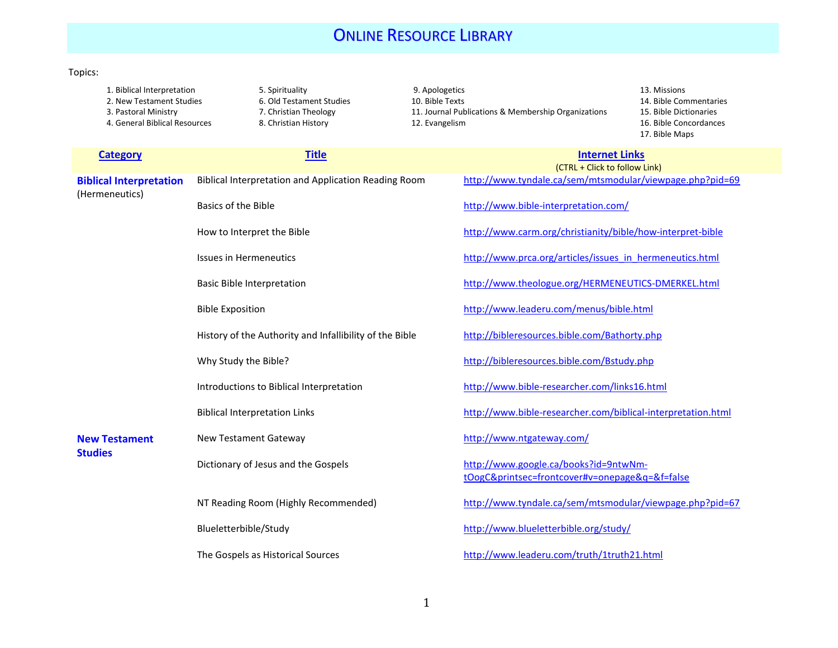## **ONLINE RESOURCE LIBRARY**

## Topics:

2. New Testament Studies 6. Old Testament Studies 10. Bible Texts 14. Bible Texts 14. Bible Texts 14. Bible Commentaries 14. Bible Texts 14. Bible Texts 14. Bible Commentaries 14. Bible Texts 14. Bible Texts 14. Bible Text

1. Biblical Interpretation 13. Missions 5. Spirituality 9. Apologetics 13. Missions 13. Missions 13. Missions<br>19. New Testament Studies 2. New Testament Studies 10. Bible Texts 19. Missions 14. Bible Commentaries 11. Journal Publications & Membership Organizations 15. Bible Dictionaries 4. General Biblical Resources 8. Christian History 12. Evangelism 16. Communication 16. Bible Concordances

17. Bible Maps

| <b>Category</b>                                  | <b>Title</b>                                            | <b>Internet Links</b><br>(CTRL + Click to follow Link)                                  |
|--------------------------------------------------|---------------------------------------------------------|-----------------------------------------------------------------------------------------|
| <b>Biblical Interpretation</b><br>(Hermeneutics) | Biblical Interpretation and Application Reading Room    | http://www.tyndale.ca/sem/mtsmodular/viewpage.php?pid=69                                |
|                                                  | Basics of the Bible                                     | http://www.bible-interpretation.com/                                                    |
|                                                  | How to Interpret the Bible                              | http://www.carm.org/christianity/bible/how-interpret-bible                              |
|                                                  | <b>Issues in Hermeneutics</b>                           | http://www.prca.org/articles/issues in hermeneutics.html                                |
|                                                  | <b>Basic Bible Interpretation</b>                       | http://www.theologue.org/HERMENEUTICS-DMERKEL.html                                      |
|                                                  | <b>Bible Exposition</b>                                 | http://www.leaderu.com/menus/bible.html                                                 |
|                                                  | History of the Authority and Infallibility of the Bible | http://bibleresources.bible.com/Bathorty.php                                            |
|                                                  | Why Study the Bible?                                    | http://bibleresources.bible.com/Bstudy.php                                              |
|                                                  | Introductions to Biblical Interpretation                | http://www.bible-researcher.com/links16.html                                            |
|                                                  | <b>Biblical Interpretation Links</b>                    | http://www.bible-researcher.com/biblical-interpretation.html                            |
| <b>New Testament</b><br><b>Studies</b>           | <b>New Testament Gateway</b>                            | http://www.ntgateway.com/                                                               |
|                                                  | Dictionary of Jesus and the Gospels                     | http://www.google.ca/books?id=9ntwNm-<br>tOogC&printsec=frontcover#v=onepage&q=&f=false |
|                                                  | NT Reading Room (Highly Recommended)                    | http://www.tyndale.ca/sem/mtsmodular/viewpage.php?pid=67                                |
|                                                  | Blueletterbible/Study                                   | http://www.blueletterbible.org/study/                                                   |
|                                                  | The Gospels as Historical Sources                       | http://www.leaderu.com/truth/1truth21.html                                              |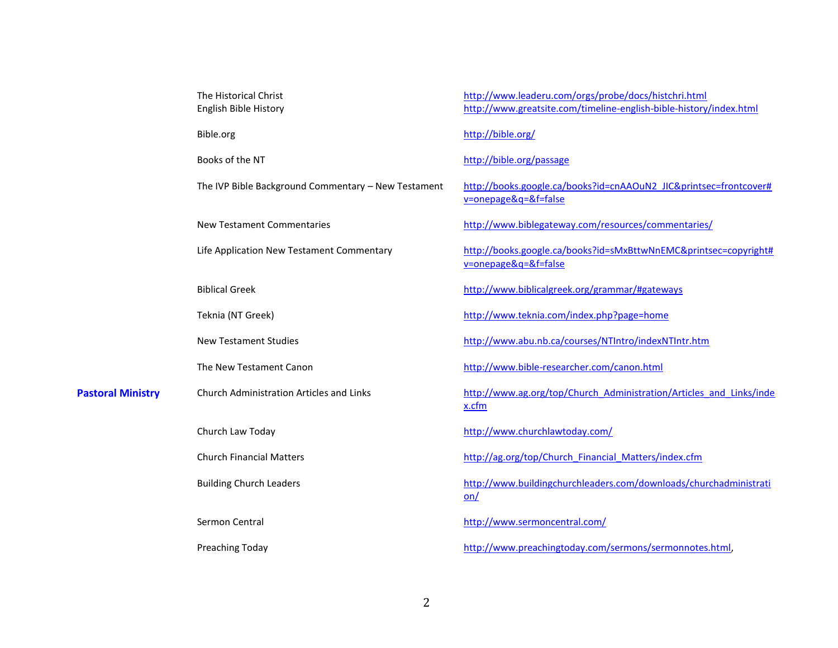|                          | The Historical Christ<br>English Bible History      | http://www.leaderu.com/orgs/probe/docs/histchri.html<br>http://www.greatsite.com/timeline-english-bible-history/index.html |
|--------------------------|-----------------------------------------------------|----------------------------------------------------------------------------------------------------------------------------|
|                          | Bible.org                                           | http://bible.org/                                                                                                          |
|                          | Books of the NT                                     | http://bible.org/passage                                                                                                   |
|                          | The IVP Bible Background Commentary - New Testament | http://books.google.ca/books?id=cnAAOuN2_JIC&printsec=frontcover#<br>v=onepage&q=&f=false                                  |
|                          | <b>New Testament Commentaries</b>                   | http://www.biblegateway.com/resources/commentaries/                                                                        |
|                          | Life Application New Testament Commentary           | http://books.google.ca/books?id=sMxBttwNnEMC&printsec=copyright#<br>v=onepage&q=&f=false                                   |
|                          | <b>Biblical Greek</b>                               | http://www.biblicalgreek.org/grammar/#gateways                                                                             |
|                          | Teknia (NT Greek)                                   | http://www.teknia.com/index.php?page=home                                                                                  |
|                          | <b>New Testament Studies</b>                        | http://www.abu.nb.ca/courses/NTIntro/indexNTIntr.htm                                                                       |
|                          | The New Testament Canon                             | http://www.bible-researcher.com/canon.html                                                                                 |
| <b>Pastoral Ministry</b> | <b>Church Administration Articles and Links</b>     | http://www.ag.org/top/Church Administration/Articles and Links/inde<br>x.cfm                                               |
|                          | Church Law Today                                    | http://www.churchlawtoday.com/                                                                                             |
|                          | <b>Church Financial Matters</b>                     | http://ag.org/top/Church Financial Matters/index.cfm                                                                       |
|                          | <b>Building Church Leaders</b>                      | http://www.buildingchurchleaders.com/downloads/churchadministrati<br>on/                                                   |
|                          | Sermon Central                                      | http://www.sermoncentral.com/                                                                                              |
|                          | Preaching Today                                     | http://www.preachingtoday.com/sermons/sermonnotes.html,                                                                    |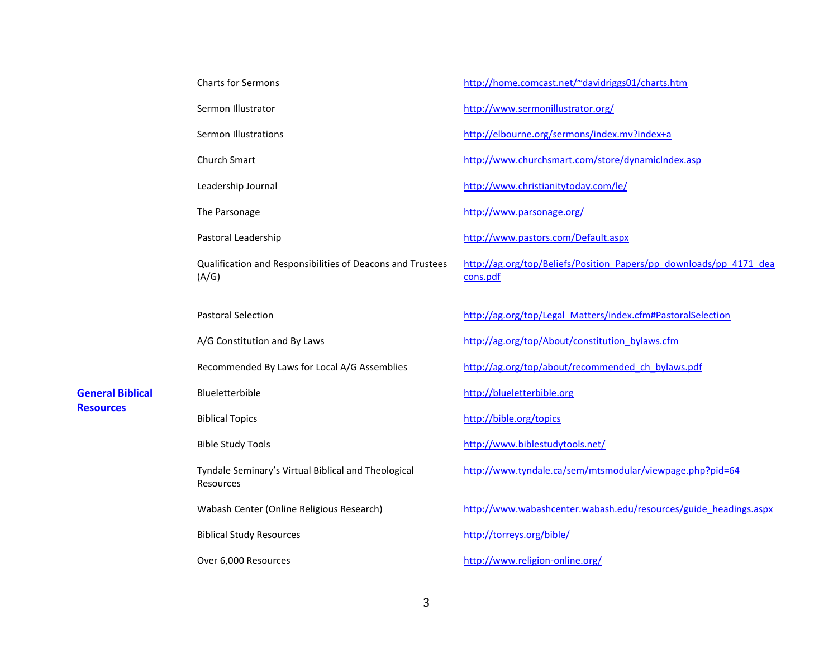|                         | Charts for Sermons                                                  | http://home.comcast.net/~davidriggs01/charts.htm                               |
|-------------------------|---------------------------------------------------------------------|--------------------------------------------------------------------------------|
|                         | Sermon Illustrator                                                  | http://www.sermonillustrator.org/                                              |
|                         | <b>Sermon Illustrations</b>                                         | http://elbourne.org/sermons/index.mv?index+a                                   |
|                         | <b>Church Smart</b>                                                 | http://www.churchsmart.com/store/dynamicIndex.asp                              |
|                         | Leadership Journal                                                  | http://www.christianitytoday.com/le/                                           |
|                         | The Parsonage                                                       | http://www.parsonage.org/                                                      |
|                         | Pastoral Leadership                                                 | http://www.pastors.com/Default.aspx                                            |
|                         | Qualification and Responsibilities of Deacons and Trustees<br>(A/G) | http://ag.org/top/Beliefs/Position Papers/pp downloads/pp 4171 dea<br>cons.pdf |
|                         | <b>Pastoral Selection</b>                                           | http://ag.org/top/Legal Matters/index.cfm#PastoralSelection                    |
|                         | A/G Constitution and By Laws                                        | http://ag.org/top/About/constitution_bylaws.cfm                                |
|                         | Recommended By Laws for Local A/G Assemblies                        | http://ag.org/top/about/recommended ch bylaws.pdf                              |
| <b>General Biblical</b> | Blueletterbible                                                     | http://blueletterbible.org                                                     |
| <b>Resources</b>        | <b>Biblical Topics</b>                                              | http://bible.org/topics                                                        |
|                         | <b>Bible Study Tools</b>                                            | http://www.biblestudytools.net/                                                |
|                         | Tyndale Seminary's Virtual Biblical and Theological<br>Resources    | http://www.tyndale.ca/sem/mtsmodular/viewpage.php?pid=64                       |
|                         | Wabash Center (Online Religious Research)                           | http://www.wabashcenter.wabash.edu/resources/guide headings.aspx               |
|                         | <b>Biblical Study Resources</b>                                     | http://torreys.org/bible/                                                      |
|                         | Over 6,000 Resources                                                | http://www.religion-online.org/                                                |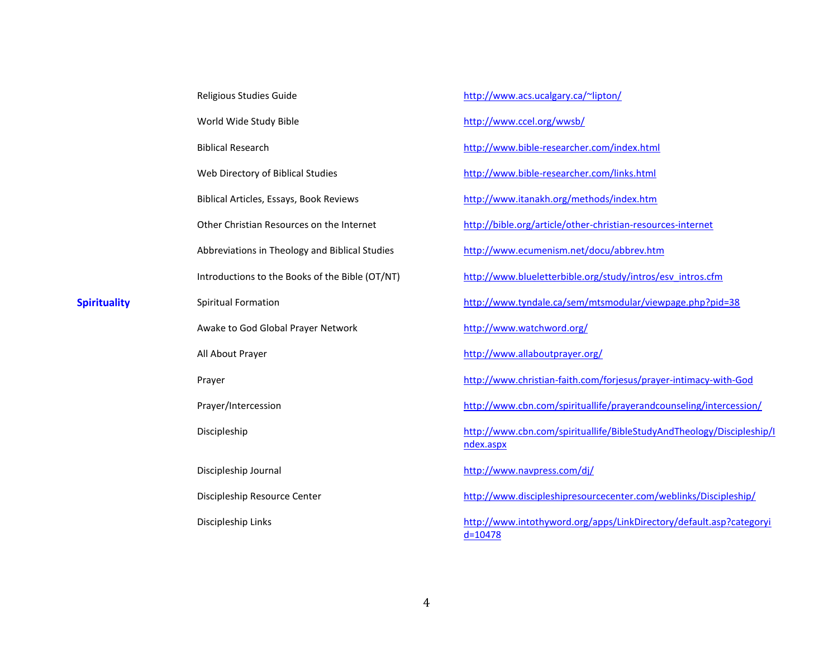|                     | Religious Studies Guide                         | http://www.acs.ucalgary.ca/~lipton/                                                |
|---------------------|-------------------------------------------------|------------------------------------------------------------------------------------|
|                     | World Wide Study Bible                          | http://www.ccel.org/wwsb/                                                          |
|                     | <b>Biblical Research</b>                        | http://www.bible-researcher.com/index.html                                         |
|                     | Web Directory of Biblical Studies               | http://www.bible-researcher.com/links.html                                         |
|                     | Biblical Articles, Essays, Book Reviews         | http://www.itanakh.org/methods/index.htm                                           |
|                     | Other Christian Resources on the Internet       | http://bible.org/article/other-christian-resources-internet                        |
|                     | Abbreviations in Theology and Biblical Studies  | http://www.ecumenism.net/docu/abbrev.htm                                           |
|                     | Introductions to the Books of the Bible (OT/NT) | http://www.blueletterbible.org/study/intros/esv intros.cfm                         |
| <b>Spirituality</b> | Spiritual Formation                             | http://www.tyndale.ca/sem/mtsmodular/viewpage.php?pid=38                           |
|                     | Awake to God Global Prayer Network              | http://www.watchword.org/                                                          |
|                     | All About Prayer                                | http://www.allaboutprayer.org/                                                     |
|                     | Prayer                                          | http://www.christian-faith.com/forjesus/prayer-intimacy-with-God                   |
|                     | Prayer/Intercession                             | http://www.cbn.com/spirituallife/prayerandcounseling/intercession/                 |
|                     | Discipleship                                    | http://www.cbn.com/spirituallife/BibleStudyAndTheology/Discipleship/I<br>ndex.aspx |
|                     | Discipleship Journal                            | http://www.navpress.com/dj/                                                        |
|                     | Discipleship Resource Center                    | http://www.discipleshipresourcecenter.com/weblinks/Discipleship/                   |
|                     | Discipleship Links                              | http://www.intothyword.org/apps/LinkDirectory/default.asp?categoryi<br>$d = 10478$ |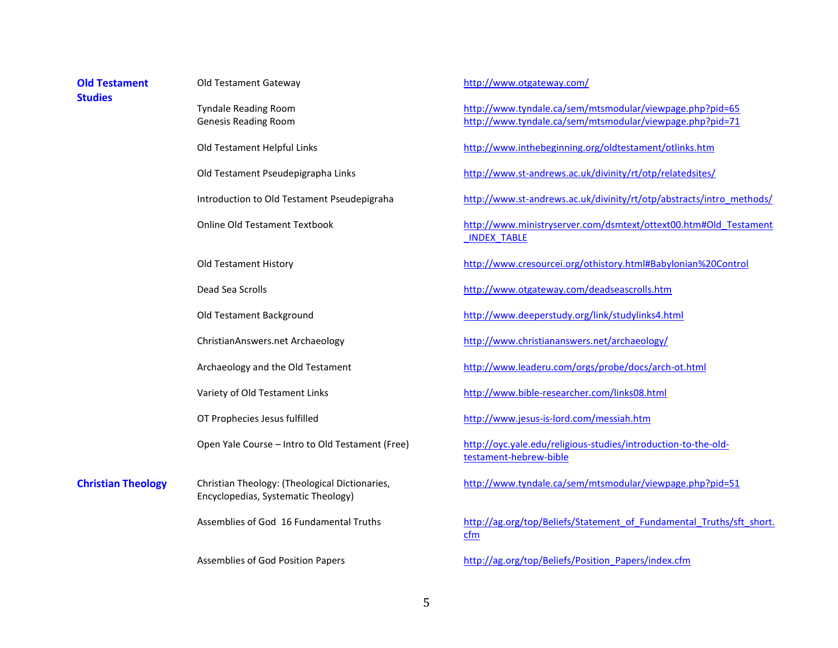| <b>Old Testament</b><br><b>Studies</b> | Old Testament Gateway                                                                 | http://www.otgateway.com/                                                                                            |
|----------------------------------------|---------------------------------------------------------------------------------------|----------------------------------------------------------------------------------------------------------------------|
|                                        | <b>Tyndale Reading Room</b><br><b>Genesis Reading Room</b>                            | http://www.tyndale.ca/sem/mtsmodular/viewpage.php?pid=65<br>http://www.tyndale.ca/sem/mtsmodular/viewpage.php?pid=71 |
|                                        | Old Testament Helpful Links                                                           | http://www.inthebeginning.org/oldtestament/otlinks.htm                                                               |
|                                        | Old Testament Pseudepigrapha Links                                                    | http://www.st-andrews.ac.uk/divinity/rt/otp/relatedsites/                                                            |
|                                        | Introduction to Old Testament Pseudepigraha                                           | http://www.st-andrews.ac.uk/divinity/rt/otp/abstracts/intro methods/                                                 |
|                                        | <b>Online Old Testament Textbook</b>                                                  | http://www.ministryserver.com/dsmtext/ottext00.htm#Old Testament<br><b>INDEX TABLE</b>                               |
|                                        | Old Testament History                                                                 | http://www.cresourcei.org/othistory.html#Babylonian%20Control                                                        |
|                                        | Dead Sea Scrolls                                                                      | http://www.otgateway.com/deadseascrolls.htm                                                                          |
|                                        | Old Testament Background                                                              | http://www.deeperstudy.org/link/studylinks4.html                                                                     |
|                                        | ChristianAnswers.net Archaeology                                                      | http://www.christiananswers.net/archaeology/                                                                         |
|                                        | Archaeology and the Old Testament                                                     | http://www.leaderu.com/orgs/probe/docs/arch-ot.html                                                                  |
|                                        | Variety of Old Testament Links                                                        | http://www.bible-researcher.com/links08.html                                                                         |
|                                        | OT Prophecies Jesus fulfilled                                                         | http://www.jesus-is-lord.com/messiah.htm                                                                             |
|                                        | Open Yale Course - Intro to Old Testament (Free)                                      | http://oyc.yale.edu/religious-studies/introduction-to-the-old-<br>testament-hebrew-bible                             |
| <b>Christian Theology</b>              | Christian Theology: (Theological Dictionaries,<br>Encyclopedias, Systematic Theology) | http://www.tyndale.ca/sem/mtsmodular/viewpage.php?pid=51                                                             |
|                                        | Assemblies of God 16 Fundamental Truths                                               | http://ag.org/top/Beliefs/Statement of Fundamental Truths/sft short.<br>cfm                                          |
|                                        | Assemblies of God Position Papers                                                     | http://ag.org/top/Beliefs/Position Papers/index.cfm                                                                  |
|                                        |                                                                                       |                                                                                                                      |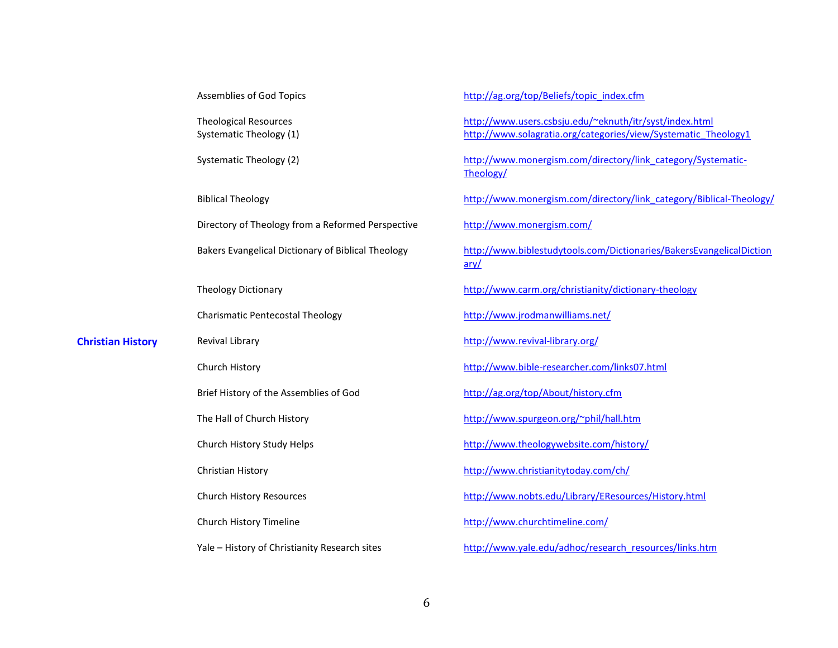Assemblies of God Topics

Theological Resources Systematic Theology (1)

Systematic Theology (2)

Biblical Theology

Directory of Theology from a Reformed Perspective

Bakers Evangelical Dictionary of Biblical Theology

Theology Dictionary

Charismatic Pentecostal Theology

**Christian History** Revival Library

Church History

Brief History of the Assemblies of God

The Hall of Church History

Church History Study Helps

Christian History

Church History Resources

Church History Timeline

Yale – History of Christianity Research sites

[http://ag.org/top/Beliefs/topic\\_index.cfm](http://ag.org/top/Beliefs/topic_index.cfm) <http://www.users.csbsju.edu/~eknuth/itr/syst/index.html> [http://www.solagratia.org/categories/view/Systematic\\_Theology1](http://www.solagratia.org/categories/view/Systematic_Theology1) [http://www.monergism.com/directory/link\\_category/Systematic-](http://www.monergism.com/directory/link_category/Systematic-Theology/)[Theology/](http://www.monergism.com/directory/link_category/Systematic-Theology/) [http://www.monergism.com/directory/link\\_category/Biblical-Theology/](http://www.monergism.com/directory/link_category/Biblical-Theology/) <http://www.monergism.com/> [http://www.biblestudytools.com/Dictionaries/BakersEvangelicalDiction](http://www.biblestudytools.com/Dictionaries/BakersEvangelicalDictionary/) [ary/](http://www.biblestudytools.com/Dictionaries/BakersEvangelicalDictionary/) <http://www.carm.org/christianity/dictionary-theology> <http://www.jrodmanwilliams.net/> <http://www.revival-library.org/> <http://www.bible-researcher.com/links07.html> <http://ag.org/top/About/history.cfm> <http://www.spurgeon.org/~phil/hall.htm> <http://www.theologywebsite.com/history/> <http://www.christianitytoday.com/ch/> <http://www.nobts.edu/Library/EResources/History.html> <http://www.churchtimeline.com/>

[http://www.yale.edu/adhoc/research\\_resources/links.htm](http://www.yale.edu/adhoc/research_resources/links.htm)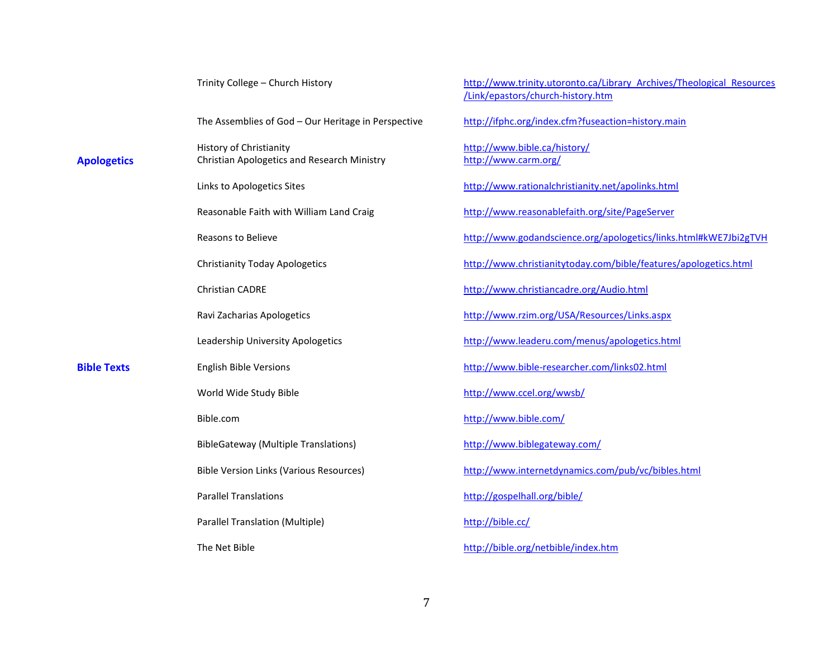|                    | Trinity College - Church History                                       | http://www.trinity.utoronto.ca/Library Archives/Theological Resources<br>/Link/epastors/church-history.htm |
|--------------------|------------------------------------------------------------------------|------------------------------------------------------------------------------------------------------------|
|                    | The Assemblies of God - Our Heritage in Perspective                    | http://ifphc.org/index.cfm?fuseaction=history.main                                                         |
| <b>Apologetics</b> | History of Christianity<br>Christian Apologetics and Research Ministry | http://www.bible.ca/history/<br>http://www.carm.org/                                                       |
|                    | Links to Apologetics Sites                                             | http://www.rationalchristianity.net/apolinks.html                                                          |
|                    | Reasonable Faith with William Land Craig                               | http://www.reasonablefaith.org/site/PageServer                                                             |
|                    | <b>Reasons to Believe</b>                                              | http://www.godandscience.org/apologetics/links.html#kWE7Jbi2gTVH                                           |
|                    | <b>Christianity Today Apologetics</b>                                  | http://www.christianitytoday.com/bible/features/apologetics.html                                           |
|                    | <b>Christian CADRE</b>                                                 | http://www.christiancadre.org/Audio.html                                                                   |
|                    | Ravi Zacharias Apologetics                                             | http://www.rzim.org/USA/Resources/Links.aspx                                                               |
|                    | Leadership University Apologetics                                      | http://www.leaderu.com/menus/apologetics.html                                                              |
| <b>Bible Texts</b> | <b>English Bible Versions</b>                                          | http://www.bible-researcher.com/links02.html                                                               |
|                    | World Wide Study Bible                                                 | http://www.ccel.org/wwsb/                                                                                  |
|                    | Bible.com                                                              | http://www.bible.com/                                                                                      |
|                    | <b>BibleGateway (Multiple Translations)</b>                            | http://www.biblegateway.com/                                                                               |
|                    | <b>Bible Version Links (Various Resources)</b>                         | http://www.internetdynamics.com/pub/vc/bibles.html                                                         |
|                    | <b>Parallel Translations</b>                                           | http://gospelhall.org/bible/                                                                               |
|                    | Parallel Translation (Multiple)                                        | http://bible.cc/                                                                                           |
|                    | The Net Bible                                                          | http://bible.org/netbible/index.htm                                                                        |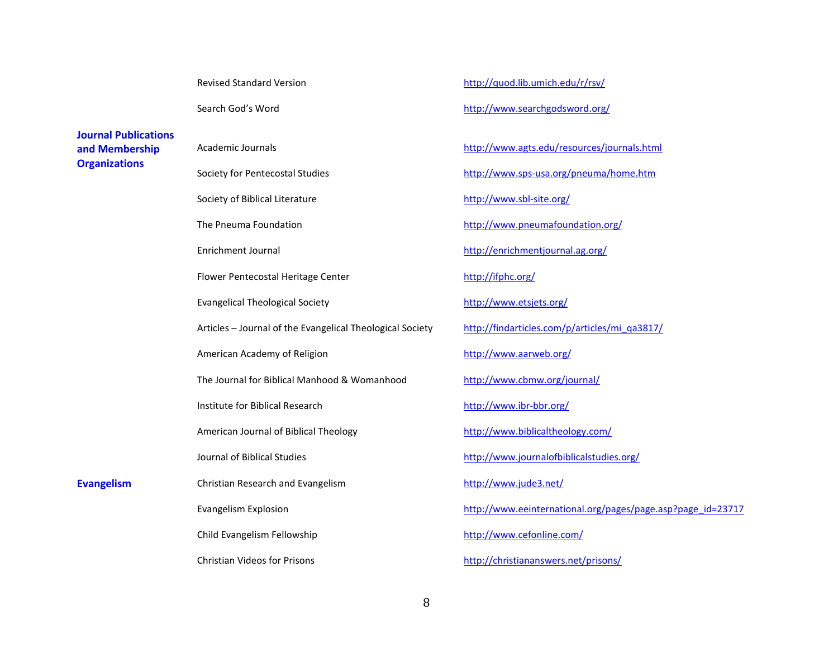|                                               | <b>Revised Standard Version</b>                           | http://quod.lib.umich.edu/r/rsv/                            |
|-----------------------------------------------|-----------------------------------------------------------|-------------------------------------------------------------|
|                                               | Search God's Word                                         | http://www.searchgodsword.org/                              |
| <b>Journal Publications</b><br>and Membership | Academic Journals                                         | http://www.agts.edu/resources/journals.html                 |
| <b>Organizations</b>                          | Society for Pentecostal Studies                           | http://www.sps-usa.org/pneuma/home.htm                      |
|                                               | Society of Biblical Literature                            | http://www.sbl-site.org/                                    |
|                                               | The Pneuma Foundation                                     | http://www.pneumafoundation.org/                            |
|                                               | Enrichment Journal                                        | http://enrichmentjournal.ag.org/                            |
|                                               | Flower Pentecostal Heritage Center                        | http://ifphc.org/                                           |
|                                               | <b>Evangelical Theological Society</b>                    | http://www.etsjets.org/                                     |
|                                               | Articles - Journal of the Evangelical Theological Society | http://findarticles.com/p/articles/mi_qa3817/               |
|                                               | American Academy of Religion                              | http://www.aarweb.org/                                      |
|                                               | The Journal for Biblical Manhood & Womanhood              | http://www.cbmw.org/journal/                                |
|                                               | Institute for Biblical Research                           | http://www.ibr-bbr.org/                                     |
|                                               | American Journal of Biblical Theology                     | http://www.biblicaltheology.com/                            |
|                                               | Journal of Biblical Studies                               | http://www.journalofbiblicalstudies.org/                    |
| <b>Evangelism</b>                             | Christian Research and Evangelism                         | http://www.jude3.net/                                       |
|                                               | <b>Evangelism Explosion</b>                               | http://www.eeinternational.org/pages/page.asp?page_id=23717 |
|                                               | Child Evangelism Fellowship                               | http://www.cefonline.com/                                   |
|                                               | <b>Christian Videos for Prisons</b>                       | http://christiananswers.net/prisons/                        |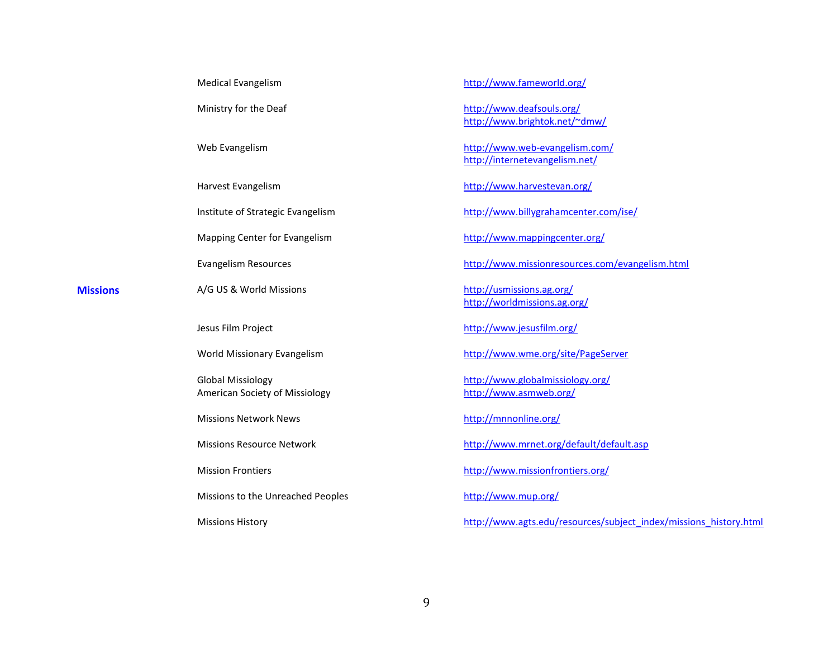| <b>Medical Evangelism</b>                                  |  |
|------------------------------------------------------------|--|
| Ministry for the Deaf                                      |  |
| Web Evangelism                                             |  |
| Harvest Evangelism                                         |  |
| Institute of Strategic Evangelism                          |  |
| Mapping Center for Evangelism                              |  |
| <b>Evangelism Resources</b>                                |  |
| A/G US & World Missions                                    |  |
|                                                            |  |
| Jesus Film Project                                         |  |
| World Missionary Evangelism                                |  |
| <b>Global Missiology</b><br>American Society of Missiology |  |
| <b>Missions Network News</b>                               |  |
| <b>Missions Resource Network</b>                           |  |
| <b>Mission Frontiers</b>                                   |  |
| Missions to the Unreached Peoples                          |  |

**Missions** 

<http://www.fameworld.org/>

<http://www.deafsouls.org/> <http://www.brightok.net/~dmw/>

<http://www.web-evangelism.com/> <http://internetevangelism.net/>

<http://www.harvestevan.org/>

<http://www.billygrahamcenter.com/ise/>

<http://www.mappingcenter.org/>

<http://www.missionresources.com/evangelism.html>

<http://usmissions.ag.org/> <http://worldmissions.ag.org/>

<http://www.jesusfilm.org/>

<http://www.wme.org/site/PageServer>

<http://www.globalmissiology.org/> <http://www.asmweb.org/>

<http://mnnonline.org/>

<http://www.mrnet.org/default/default.asp>

<http://www.missionfrontiers.org/>

<http://www.mup.org/>

[http://www.agts.edu/resources/subject\\_index/missions\\_history.html](http://www.agts.edu/resources/subject_index/missions_history.html)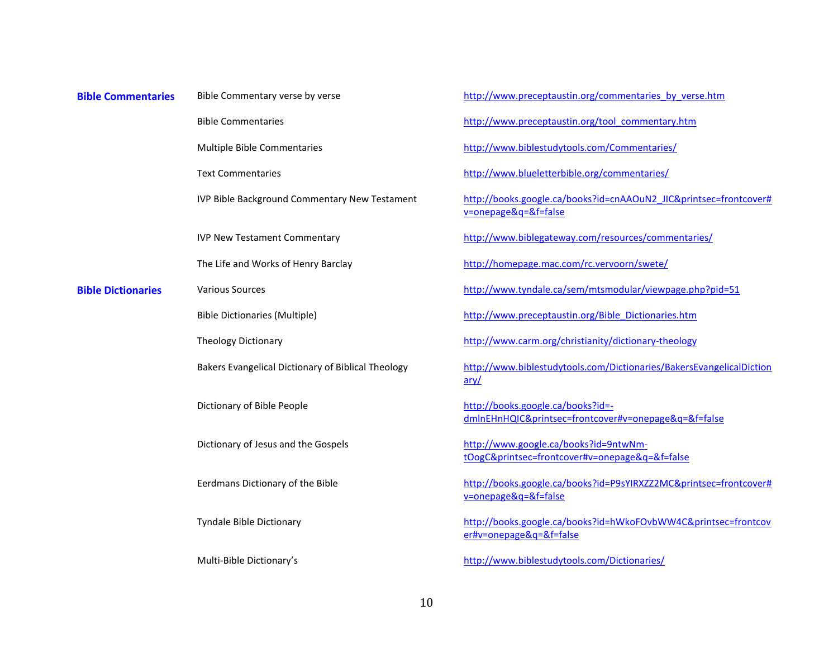| <b>Bible Commentaries</b> | Bible Commentary verse by verse |
|---------------------------|---------------------------------|
|---------------------------|---------------------------------|

Bible Commentaries

Multiple Bible Commentaries

Text Commentaries

IVP Bible Background Commentary New Testament

IVP New Testament Commentary

The Life and Works of Henry Barclay

**Bible Dictionaries** Various Sources

Bible Dictionaries (Multiple)

Theology Dictionary

Bakers Evangelical Dictionary of Biblical Theology

Dictionary of Bible People

Dictionary of Jesus and the Gospels

Eerdmans Dictionary of the Bible

Tyndale Bible Dictionary

Multi-Bible Dictionary's

[http://www.preceptaustin.org/commentaries\\_by\\_verse.htm](http://www.preceptaustin.org/commentaries_by_verse.htm) [http://www.preceptaustin.org/tool\\_commentary.htm](http://www.preceptaustin.org/tool_commentary.htm) <http://www.biblestudytools.com/Commentaries/> <http://www.blueletterbible.org/commentaries/> [http://books.google.ca/books?id=cnAAOuN2\\_JIC&printsec=frontcover#](http://books.google.ca/books?id=cnAAOuN2_JIC&printsec=frontcover#v=onepage&q=&f=false) [v=onepage&q=&f=false](http://books.google.ca/books?id=cnAAOuN2_JIC&printsec=frontcover#v=onepage&q=&f=false) <http://www.biblegateway.com/resources/commentaries/> <http://homepage.mac.com/rc.vervoorn/swete/> <http://www.tyndale.ca/sem/mtsmodular/viewpage.php?pid=51> [http://www.preceptaustin.org/Bible\\_Dictionaries.htm](http://www.preceptaustin.org/Bible_Dictionaries.htm) <http://www.carm.org/christianity/dictionary-theology> [http://www.biblestudytools.com/Dictionaries/BakersEvangelicalDiction](http://www.biblestudytools.com/Dictionaries/BakersEvangelicalDictionary/) [ary/](http://www.biblestudytools.com/Dictionaries/BakersEvangelicalDictionary/) [http://books.google.ca/books?id=](http://books.google.ca/books?id=-dmlnEHnHQIC&printsec=frontcover#v=onepage&q=&f=false) [dmlnEHnHQIC&printsec=frontcover#v=onepage&q=&f=false](http://books.google.ca/books?id=-dmlnEHnHQIC&printsec=frontcover#v=onepage&q=&f=false) [http://www.google.ca/books?id=9ntwNm](http://www.google.ca/books?id=9ntwNm-tOogC&printsec=frontcover#v=onepage&q=&f=false)[tOogC&printsec=frontcover#v=onepage&q=&f=false](http://www.google.ca/books?id=9ntwNm-tOogC&printsec=frontcover#v=onepage&q=&f=false) [http://books.google.ca/books?id=P9sYIRXZZ2MC&printsec=frontcover#](http://books.google.ca/books?id=P9sYIRXZZ2MC&printsec=frontcover#v=onepage&q=&f=false) [v=onepage&q=&f=false](http://books.google.ca/books?id=P9sYIRXZZ2MC&printsec=frontcover#v=onepage&q=&f=false)

[http://books.google.ca/books?id=hWkoFOvbWW4C&printsec=frontcov](http://books.google.ca/books?id=hWkoFOvbWW4C&printsec=frontcover#v=onepage&q=&f=false) [er#v=onepage&q=&f=false](http://books.google.ca/books?id=hWkoFOvbWW4C&printsec=frontcover#v=onepage&q=&f=false)

<http://www.biblestudytools.com/Dictionaries/>